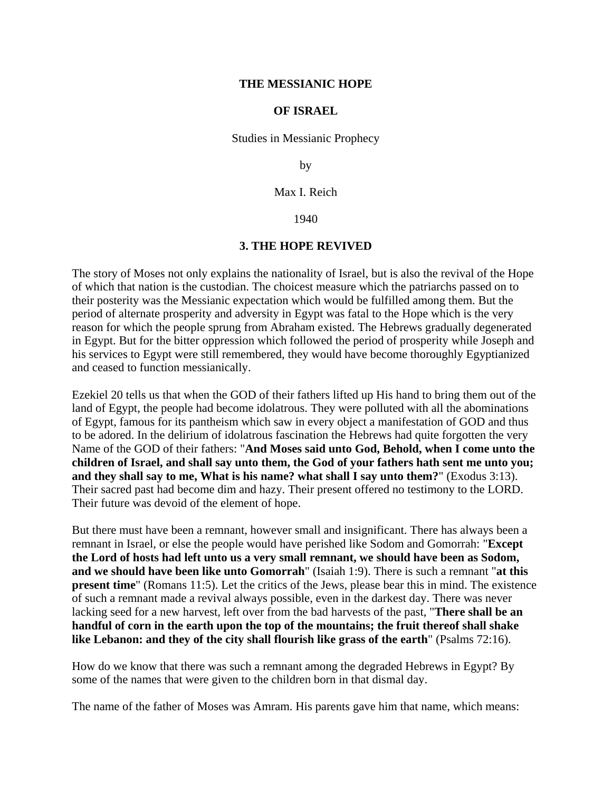### **THE MESSIANIC HOPE**

#### **OF ISRAEL**

Studies in Messianic Prophecy

by

Max I. Reich

1940

### **3. THE HOPE REVIVED**

The story of Moses not only explains the nationality of Israel, but is also the revival of the Hope of which that nation is the custodian. The choicest measure which the patriarchs passed on to their posterity was the Messianic expectation which would be fulfilled among them. But the period of alternate prosperity and adversity in Egypt was fatal to the Hope which is the very reason for which the people sprung from Abraham existed. The Hebrews gradually degenerated in Egypt. But for the bitter oppression which followed the period of prosperity while Joseph and his services to Egypt were still remembered, they would have become thoroughly Egyptianized and ceased to function messianically.

Ezekiel 20 tells us that when the GOD of their fathers lifted up His hand to bring them out of the land of Egypt, the people had become idolatrous. They were polluted with all the abominations of Egypt, famous for its pantheism which saw in every object a manifestation of GOD and thus to be adored. In the delirium of idolatrous fascination the Hebrews had quite forgotten the very Name of the GOD of their fathers: "**And Moses said unto God, Behold, when I come unto the children of Israel, and shall say unto them, the God of your fathers hath sent me unto you; and they shall say to me, What is his name? what shall I say unto them?**" (Exodus 3:13). Their sacred past had become dim and hazy. Their present offered no testimony to the LORD. Their future was devoid of the element of hope.

But there must have been a remnant, however small and insignificant. There has always been a remnant in Israel, or else the people would have perished like Sodom and Gomorrah: "**Except the Lord of hosts had left unto us a very small remnant, we should have been as Sodom, and we should have been like unto Gomorrah**" (Isaiah 1:9). There is such a remnant "**at this present time**" (Romans 11:5). Let the critics of the Jews, please bear this in mind. The existence of such a remnant made a revival always possible, even in the darkest day. There was never lacking seed for a new harvest, left over from the bad harvests of the past, "**There shall be an handful of corn in the earth upon the top of the mountains; the fruit thereof shall shake like Lebanon: and they of the city shall flourish like grass of the earth**" (Psalms 72:16).

How do we know that there was such a remnant among the degraded Hebrews in Egypt? By some of the names that were given to the children born in that dismal day.

The name of the father of Moses was Amram. His parents gave him that name, which means: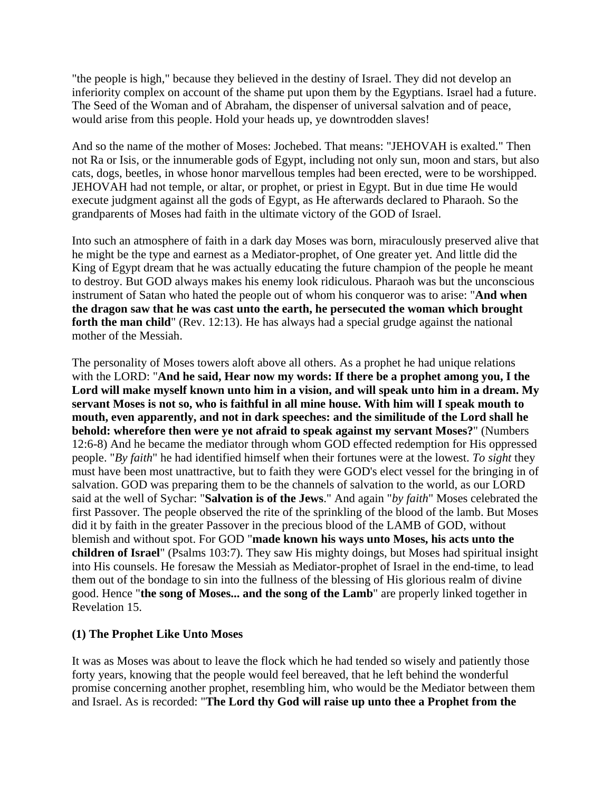"the people is high," because they believed in the destiny of Israel. They did not develop an inferiority complex on account of the shame put upon them by the Egyptians. Israel had a future. The Seed of the Woman and of Abraham, the dispenser of universal salvation and of peace, would arise from this people. Hold your heads up, ye downtrodden slaves!

And so the name of the mother of Moses: Jochebed. That means: "JEHOVAH is exalted." Then not Ra or Isis, or the innumerable gods of Egypt, including not only sun, moon and stars, but also cats, dogs, beetles, in whose honor marvellous temples had been erected, were to be worshipped. JEHOVAH had not temple, or altar, or prophet, or priest in Egypt. But in due time He would execute judgment against all the gods of Egypt, as He afterwards declared to Pharaoh. So the grandparents of Moses had faith in the ultimate victory of the GOD of Israel.

Into such an atmosphere of faith in a dark day Moses was born, miraculously preserved alive that he might be the type and earnest as a Mediator-prophet, of One greater yet. And little did the King of Egypt dream that he was actually educating the future champion of the people he meant to destroy. But GOD always makes his enemy look ridiculous. Pharaoh was but the unconscious instrument of Satan who hated the people out of whom his conqueror was to arise: "**And when the dragon saw that he was cast unto the earth, he persecuted the woman which brought forth the man child**" (Rev. 12:13). He has always had a special grudge against the national mother of the Messiah.

The personality of Moses towers aloft above all others. As a prophet he had unique relations with the LORD: "**And he said, Hear now my words: If there be a prophet among you, I the Lord will make myself known unto him in a vision, and will speak unto him in a dream. My servant Moses is not so, who is faithful in all mine house. With him will I speak mouth to mouth, even apparently, and not in dark speeches: and the similitude of the Lord shall he behold: wherefore then were ye not afraid to speak against my servant Moses?**" (Numbers 12:6-8) And he became the mediator through whom GOD effected redemption for His oppressed people. "*By faith*" he had identified himself when their fortunes were at the lowest. *To sight* they must have been most unattractive, but to faith they were GOD's elect vessel for the bringing in of salvation. GOD was preparing them to be the channels of salvation to the world, as our LORD said at the well of Sychar: "**Salvation is of the Jews**." And again "*by faith*" Moses celebrated the first Passover. The people observed the rite of the sprinkling of the blood of the lamb. But Moses did it by faith in the greater Passover in the precious blood of the LAMB of GOD, without blemish and without spot. For GOD "**made known his ways unto Moses, his acts unto the children of Israel**" (Psalms 103:7). They saw His mighty doings, but Moses had spiritual insight into His counsels. He foresaw the Messiah as Mediator-prophet of Israel in the end-time, to lead them out of the bondage to sin into the fullness of the blessing of His glorious realm of divine good. Hence "**the song of Moses... and the song of the Lamb**" are properly linked together in Revelation 15.

# **(1) The Prophet Like Unto Moses**

It was as Moses was about to leave the flock which he had tended so wisely and patiently those forty years, knowing that the people would feel bereaved, that he left behind the wonderful promise concerning another prophet, resembling him, who would be the Mediator between them and Israel. As is recorded: "**The Lord thy God will raise up unto thee a Prophet from the**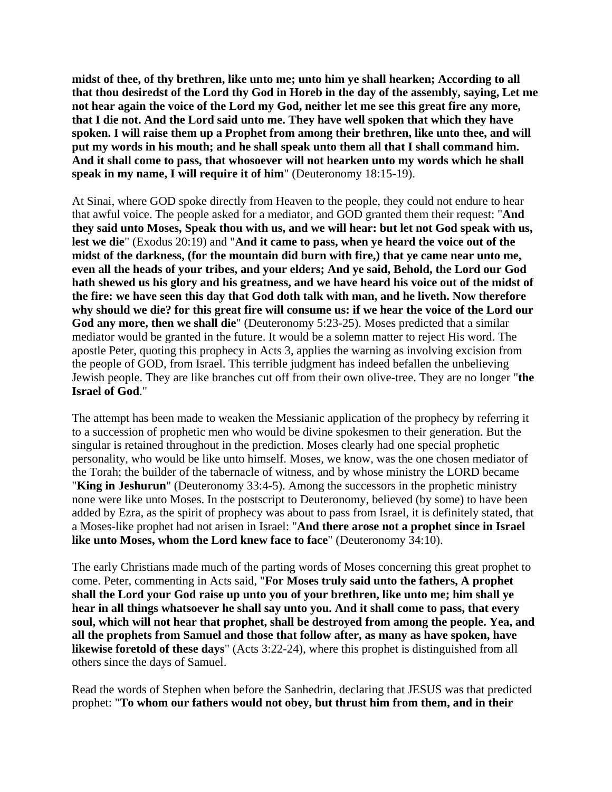**midst of thee, of thy brethren, like unto me; unto him ye shall hearken; According to all that thou desiredst of the Lord thy God in Horeb in the day of the assembly, saying, Let me not hear again the voice of the Lord my God, neither let me see this great fire any more, that I die not. And the Lord said unto me. They have well spoken that which they have spoken. I will raise them up a Prophet from among their brethren, like unto thee, and will put my words in his mouth; and he shall speak unto them all that I shall command him. And it shall come to pass, that whosoever will not hearken unto my words which he shall speak in my name, I will require it of him**" (Deuteronomy 18:15-19).

At Sinai, where GOD spoke directly from Heaven to the people, they could not endure to hear that awful voice. The people asked for a mediator, and GOD granted them their request: "**And they said unto Moses, Speak thou with us, and we will hear: but let not God speak with us, lest we die**" (Exodus 20:19) and "**And it came to pass, when ye heard the voice out of the midst of the darkness, (for the mountain did burn with fire,) that ye came near unto me, even all the heads of your tribes, and your elders; And ye said, Behold, the Lord our God hath shewed us his glory and his greatness, and we have heard his voice out of the midst of the fire: we have seen this day that God doth talk with man, and he liveth. Now therefore why should we die? for this great fire will consume us: if we hear the voice of the Lord our God any more, then we shall die**" (Deuteronomy 5:23-25). Moses predicted that a similar mediator would be granted in the future. It would be a solemn matter to reject His word. The apostle Peter, quoting this prophecy in Acts 3, applies the warning as involving excision from the people of GOD, from Israel. This terrible judgment has indeed befallen the unbelieving Jewish people. They are like branches cut off from their own olive-tree. They are no longer "**the Israel of God**."

The attempt has been made to weaken the Messianic application of the prophecy by referring it to a succession of prophetic men who would be divine spokesmen to their generation. But the singular is retained throughout in the prediction. Moses clearly had one special prophetic personality, who would be like unto himself. Moses, we know, was the one chosen mediator of the Torah; the builder of the tabernacle of witness, and by whose ministry the LORD became "**King in Jeshurun**" (Deuteronomy 33:4-5). Among the successors in the prophetic ministry none were like unto Moses. In the postscript to Deuteronomy, believed (by some) to have been added by Ezra, as the spirit of prophecy was about to pass from Israel, it is definitely stated, that a Moses-like prophet had not arisen in Israel: "**And there arose not a prophet since in Israel like unto Moses, whom the Lord knew face to face**" (Deuteronomy 34:10).

The early Christians made much of the parting words of Moses concerning this great prophet to come. Peter, commenting in Acts said, "**For Moses truly said unto the fathers, A prophet shall the Lord your God raise up unto you of your brethren, like unto me; him shall ye hear in all things whatsoever he shall say unto you. And it shall come to pass, that every soul, which will not hear that prophet, shall be destroyed from among the people. Yea, and all the prophets from Samuel and those that follow after, as many as have spoken, have likewise foretold of these days**" (Acts 3:22-24), where this prophet is distinguished from all others since the days of Samuel.

Read the words of Stephen when before the Sanhedrin, declaring that JESUS was that predicted prophet: "**To whom our fathers would not obey, but thrust him from them, and in their**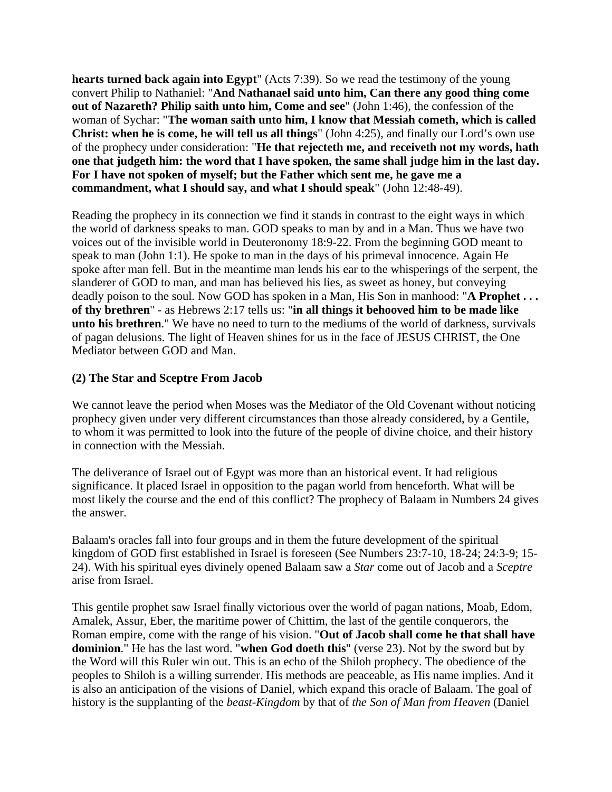**hearts turned back again into Egypt**" (Acts 7:39). So we read the testimony of the young convert Philip to Nathaniel: "**And Nathanael said unto him, Can there any good thing come out of Nazareth? Philip saith unto him, Come and see**" (John 1:46), the confession of the woman of Sychar: "**The woman saith unto him, I know that Messiah cometh, which is called Christ: when he is come, he will tell us all things**" (John 4:25), and finally our Lord's own use of the prophecy under consideration: "**He that rejecteth me, and receiveth not my words, hath one that judgeth him: the word that I have spoken, the same shall judge him in the last day. For I have not spoken of myself; but the Father which sent me, he gave me a commandment, what I should say, and what I should speak**" (John 12:48-49).

Reading the prophecy in its connection we find it stands in contrast to the eight ways in which the world of darkness speaks to man. GOD speaks to man by and in a Man. Thus we have two voices out of the invisible world in Deuteronomy 18:9-22. From the beginning GOD meant to speak to man (John 1:1). He spoke to man in the days of his primeval innocence. Again He spoke after man fell. But in the meantime man lends his ear to the whisperings of the serpent, the slanderer of GOD to man, and man has believed his lies, as sweet as honey, but conveying deadly poison to the soul. Now GOD has spoken in a Man, His Son in manhood: "**A Prophet . . . of thy brethren**" - as Hebrews 2:17 tells us: "**in all things it behooved him to be made like unto his brethren**." We have no need to turn to the mediums of the world of darkness, survivals of pagan delusions. The light of Heaven shines for us in the face of JESUS CHRIST, the One Mediator between GOD and Man.

# **(2) The Star and Sceptre From Jacob**

We cannot leave the period when Moses was the Mediator of the Old Covenant without noticing prophecy given under very different circumstances than those already considered, by a Gentile, to whom it was permitted to look into the future of the people of divine choice, and their history in connection with the Messiah.

The deliverance of Israel out of Egypt was more than an historical event. It had religious significance. It placed Israel in opposition to the pagan world from henceforth. What will be most likely the course and the end of this conflict? The prophecy of Balaam in Numbers 24 gives the answer.

Balaam's oracles fall into four groups and in them the future development of the spiritual kingdom of GOD first established in Israel is foreseen (See Numbers 23:7-10, 18-24; 24:3-9; 15- 24). With his spiritual eyes divinely opened Balaam saw a *Star* come out of Jacob and a *Sceptre* arise from Israel.

This gentile prophet saw Israel finally victorious over the world of pagan nations, Moab, Edom, Amalek, Assur, Eber, the maritime power of Chittim, the last of the gentile conquerors, the Roman empire, come with the range of his vision. "**Out of Jacob shall come he that shall have dominion**." He has the last word. "**when God doeth this**" (verse 23). Not by the sword but by the Word will this Ruler win out. This is an echo of the Shiloh prophecy. The obedience of the peoples to Shiloh is a willing surrender. His methods are peaceable, as His name implies. And it is also an anticipation of the visions of Daniel, which expand this oracle of Balaam. The goal of history is the supplanting of the *beast-Kingdom* by that of *the Son of Man from Heaven* (Daniel